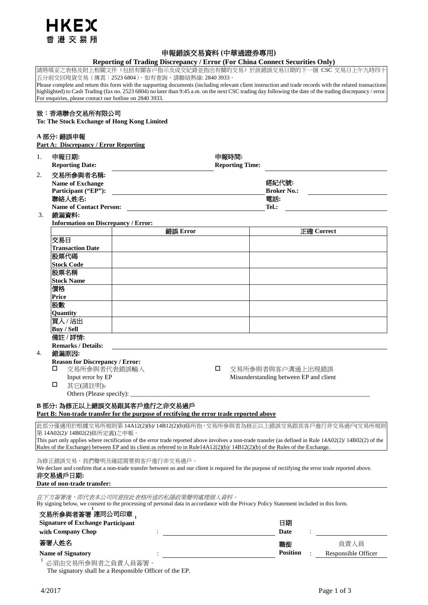

# 申報錯誤交易資料 **(**中華通證券專用**)**

# **Reporting of Trading Discrepancy / Error (For China Connect Securities Only)**

請將填妥之表格及附上相關文件(包括有關客户指示及成交紀錄並指出有關的交易)於該錯誤交易日期的下一個 CSC 交易日上午九時四十 五分前交回現貨交易(傳真:2523 6804)。如有查詢,請聯絡熱線: 2840 3933。

Please complete and return this form with the supporting documents (including relevant client instruction and trade records with the related transactions highlighted) to Cash Trading (fax no. 2523 6804) no later than 9:45 a.m. on the next CSC trading day following the date of the trading discrepancy / error For enquiries, please contact our hotline on 2840 3933.

# 致:香港聯合交易所有限公司

**To: The Stock Exchange of Hong Kong Limited**

# **A** 部分**:** 錯誤申報

**Part A: Discrepancy / Error Reporting** 

| 1.                                       | 申報日期:<br><b>Reporting Date:</b>                             | 申報時間:<br><b>Reporting Time:</b>                                                                                                                                               |          |       |                 |                                                                                                                                                         |
|------------------------------------------|-------------------------------------------------------------|-------------------------------------------------------------------------------------------------------------------------------------------------------------------------------|----------|-------|-----------------|---------------------------------------------------------------------------------------------------------------------------------------------------------|
| 2.                                       | 交易所参與者名稱:<br><b>Name of Exchange</b><br>Participant ("EP"): | 經紀代號:<br><b>Broker No.:</b>                                                                                                                                                   |          |       |                 |                                                                                                                                                         |
|                                          | 聯絡人姓名:                                                      | 電話:                                                                                                                                                                           |          |       |                 |                                                                                                                                                         |
|                                          | <b>Name of Contact Person:</b>                              |                                                                                                                                                                               |          | Tel.: |                 |                                                                                                                                                         |
| 3.                                       | 錯漏資料:                                                       |                                                                                                                                                                               |          |       |                 |                                                                                                                                                         |
|                                          | <b>Information on Discrepancy / Error:</b>                  |                                                                                                                                                                               |          |       |                 |                                                                                                                                                         |
|                                          |                                                             |                                                                                                                                                                               | 錯誤 Error |       |                 | <b>正確 Correct</b>                                                                                                                                       |
|                                          | 交易日                                                         |                                                                                                                                                                               |          |       |                 |                                                                                                                                                         |
|                                          | <b>Transaction Date</b>                                     |                                                                                                                                                                               |          |       |                 |                                                                                                                                                         |
|                                          | 股票代碼                                                        |                                                                                                                                                                               |          |       |                 |                                                                                                                                                         |
|                                          | <b>Stock Code</b>                                           |                                                                                                                                                                               |          |       |                 |                                                                                                                                                         |
|                                          | 股票名稱                                                        |                                                                                                                                                                               |          |       |                 |                                                                                                                                                         |
|                                          | <b>Stock Name</b>                                           |                                                                                                                                                                               |          |       |                 |                                                                                                                                                         |
|                                          | 價格                                                          |                                                                                                                                                                               |          |       |                 |                                                                                                                                                         |
|                                          | Price                                                       |                                                                                                                                                                               |          |       |                 |                                                                                                                                                         |
|                                          | 股數                                                          |                                                                                                                                                                               |          |       |                 |                                                                                                                                                         |
|                                          | Quantity                                                    |                                                                                                                                                                               |          |       |                 |                                                                                                                                                         |
|                                          | 買入/沽出                                                       |                                                                                                                                                                               |          |       |                 |                                                                                                                                                         |
|                                          | <b>Buv / Sell</b>                                           |                                                                                                                                                                               |          |       |                 |                                                                                                                                                         |
|                                          | 備註 /詳情:                                                     |                                                                                                                                                                               |          |       |                 |                                                                                                                                                         |
|                                          | <b>Remarks / Details:</b>                                   |                                                                                                                                                                               |          |       |                 |                                                                                                                                                         |
| 4.                                       | 錯漏原因:                                                       |                                                                                                                                                                               |          |       |                 |                                                                                                                                                         |
|                                          | <b>Reason for Discrepancy / Error:</b><br>□<br>□            |                                                                                                                                                                               |          |       |                 |                                                                                                                                                         |
|                                          |                                                             | 交易所参與者代表錯誤輸入<br>交易所參與者與客户溝通上出現錯誤                                                                                                                                              |          |       |                 |                                                                                                                                                         |
|                                          | Input error by EP<br>□                                      | Misunderstanding between EP and client                                                                                                                                        |          |       |                 |                                                                                                                                                         |
|                                          | 其它(請註明):                                                    |                                                                                                                                                                               |          |       |                 |                                                                                                                                                         |
|                                          |                                                             |                                                                                                                                                                               |          |       |                 |                                                                                                                                                         |
|                                          |                                                             | B 部分: 為修正以上錯誤交易跟其客戶進行之非交易過戶<br>Part B: Non-trade transfer for the purpose of rectifying the error trade reported above                                                        |          |       |                 |                                                                                                                                                         |
|                                          |                                                             |                                                                                                                                                                               |          |       |                 |                                                                                                                                                         |
|                                          | 第14A02(2)/14B02(2)條所定義)之申報。                                 |                                                                                                                                                                               |          |       |                 | 此部分僅適用於根據交易所規則第 14A12(2)(b)/ 14B12(2)(b)條所指,交易所參與者為修正以上錯誤交易跟其客戶進行非交易過戶(交易所規則                                                                            |
|                                          |                                                             |                                                                                                                                                                               |          |       |                 | This part only applies where rectification of the error trade reported above involves a non-trade transfer (as defined in Rule 14A02(2)/14B02(2) of the |
|                                          |                                                             | Rules of the Exchange) between EP and its client as referred to in Rule14A12(2)(b)/ 14B12(2)(b) of the Rules of the Exchange.                                                 |          |       |                 |                                                                                                                                                         |
|                                          |                                                             | 為修正錯誤交易,我們聲明及確認需要與客戶進行非交易過戶。                                                                                                                                                  |          |       |                 |                                                                                                                                                         |
|                                          |                                                             | We declare and confirm that a non-trade transfer between us and our client is required for the purpose of rectifying the error trade reported above.                          |          |       |                 |                                                                                                                                                         |
|                                          | 非交易過戶日期:                                                    |                                                                                                                                                                               |          |       |                 |                                                                                                                                                         |
|                                          | Date of non-trade transfer:                                 |                                                                                                                                                                               |          |       |                 |                                                                                                                                                         |
|                                          |                                                             | 在下方簽署後,即代表本公司同意按此表格所述的私隱政策聲明處理個人資料。<br>By signing below, we consent to the processing of personal data in accordance with the Privacy Policy Statement included in this form. |          |       |                 |                                                                                                                                                         |
|                                          | 交易所参與者簽署 連同公司印章 .                                           |                                                                                                                                                                               |          |       |                 |                                                                                                                                                         |
| <b>Signature of Exchange Participant</b> |                                                             |                                                                                                                                                                               |          |       | 日期              |                                                                                                                                                         |
| with Company Chop                        |                                                             |                                                                                                                                                                               |          |       | Date            |                                                                                                                                                         |
|                                          | 簽署人姓名                                                       |                                                                                                                                                                               |          |       | 職銜              | 負責人員                                                                                                                                                    |
|                                          |                                                             |                                                                                                                                                                               |          |       | <b>Position</b> |                                                                                                                                                         |
|                                          | <b>Name of Signatory</b><br>必須由交易所參與者之負責人員簽署。               |                                                                                                                                                                               |          |       |                 | Responsible Officer                                                                                                                                     |

The signatory shall be a Responsible Officer of the EP.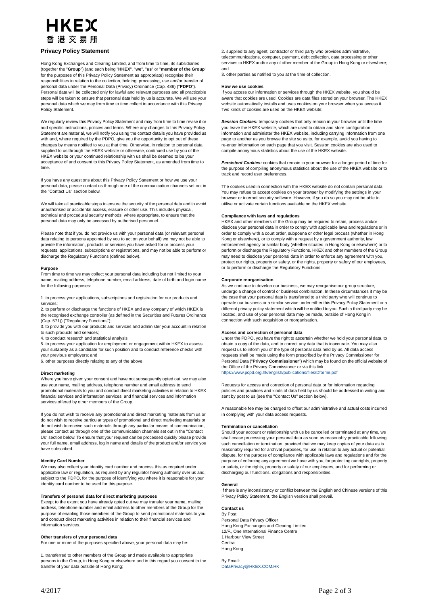# HKEX 香港交易所

## **Privacy Policy Statement**

Hong Kong Exchanges and Clearing Limited, and from time to time, its subsidiaries (together the "**Group**") (and each being "**HKEX**", "**we**", "**us**" or "**member of the Group**" for the purposes of this Privacy Policy Statement as appropriate) recognise their responsibilities in relation to the collection, holding, processing, use and/or transfer of personal data under the Personal Data (Privacy) Ordinance (Cap. 486) ("**PDPO**"). Personal data will be collected only for lawful and relevant purposes and all practicable steps will be taken to ensure that personal data held by us is accurate. We will use your personal data which we may from time to time collect in accordance with this Privacy Policy Statement.

We regularly review this Privacy Policy Statement and may from time to time revise it or add specific instructions, policies and terms. Where any changes to this Privacy Policy Statement are material, we will notify you using the contact details you have provided us with and, where required by the PDPO, give you the opportunity to opt out of these changes by means notified to you at that time. Otherwise, in relation to personal data supplied to us through the HKEX website or otherwise, continued use by you of the HKEX website or your continued relationship with us shall be deemed to be your acceptance of and consent to this Privacy Policy Statement, as amended from time to time.

If you have any questions about this Privacy Policy Statement or how we use your personal data, please contact us through one of the communication channels set out in the "Contact Us" section below.

We will take all practicable steps to ensure the security of the personal data and to avoid unauthorised or accidental access, erasure or other use. This includes physical, technical and procedural security methods, where appropriate, to ensure that the personal data may only be accessed by authorised personnel.

Please note that if you do not provide us with your personal data (or relevant personal data relating to persons appointed by you to act on your behalf) we may not be able to provide the information, products or services you have asked for or process your requests, applications, subscriptions or registrations, and may not be able to perform or discharge the Regulatory Functions (defined below).

#### **Purpose**

From time to time we may collect your personal data including but not limited to your name, mailing address, telephone number, email address, date of birth and login name for the following purposes:

1. to process your applications, subscriptions and registration for our products and services;

2. to perform or discharge the functions of HKEX and any company of which HKEX is the recognised exchange controller (as defined in the Securities and Futures Ordinance (Cap. 571)) ("Regulatory Functions");

3. to provide you with our products and services and administer your account in relation to such products and services;

4. to conduct research and statistical analysis;

5. to process your application for employment or engagement within HKEX to assess your suitability as a candidate for such position and to conduct reference checks with your previous employers; and

6. other purposes directly relating to any of the above.

## **Direct marketing**

Where you have given your consent and have not subsequently opted out, we may also use your name, mailing address, telephone number and email address to send promotional materials to you and conduct direct marketing activities in relation to HKEX financial services and information services, and financial services and information services offered by other members of the Group.

If you do not wish to receive any promotional and direct marketing materials from us or do not wish to receive particular types of promotional and direct marketing materials or do not wish to receive such materials through any particular means of communication, please contact us through one of the communication channels set out in the "Contact Us" section below. To ensure that your request can be processed quickly please provide your full name, email address, log in name and details of the product and/or service you have subscribed.

### **Identity Card Number**

We may also collect your identity card number and process this as required under applicable law or regulation, as required by any regulator having authority over us and, subject to the PDPO, for the purpose of identifying you where it is reasonable for your identity card number to be used for this purpose.

### **Transfers of personal data for direct marketing purposes**

Except to the extent you have already opted out we may transfer your name, mailing address, telephone number and email address to other members of the Group for the purpose of enabling those members of the Group to send promotional materials to you and conduct direct marketing activities in relation to their financial services and information services.

### **Other transfers of your personal data**

For one or more of the purposes specified above, your personal data may be:

1. transferred to other members of the Group and made available to appropriate persons in the Group, in Hong Kong or elsewhere and in this regard you consent to the transfer of your data outside of Hong Kong;

2. supplied to any agent, contractor or third party who provides administrative, telecommunications, computer, payment, debt collection, data processing or other services to HKEX and/or any of other member of the Group in Hong Kong or elsewhere; and

3. other parties as notified to you at the time of collection.

#### **How we use cookies**

If you access our information or services through the HKEX website, you should be aware that cookies are used. Cookies are data files stored on your browser. The HKEX website automatically installs and uses cookies on your browser when you access it. Two kinds of cookies are used on the HKEX website:

**Session Cookies:** temporary cookies that only remain in your browser until the time you leave the HKEX website, which are used to obtain and store configuration information and administer the HKEX website, including carrying information from one page to another as you browse the site so as to, for example, avoid you having to re-enter information on each page that you visit. Session cookies are also used to compile anonymous statistics about the use of the HKEX website.

*Persistent Cookies:* cookies that remain in your browser for a longer period of time for the purpose of compiling anonymous statistics about the use of the HKEX website or to track and record user preferences.

The cookies used in connection with the HKEX website do not contain personal data. You may refuse to accept cookies on your browser by modifying the settings in your browser or internet security software. However, if you do so you may not be able to utilise or activate certain functions available on the HKEX website.

## **Compliance with laws and regulations**

HKEX and other members of the Group may be required to retain, process and/or disclose your personal data in order to comply with applicable laws and regulations or in order to comply with a court order, subpoena or other legal process (whether in Hong Kong or elsewhere), or to comply with a request by a government authority, law enforcement agency or similar body (whether situated in Hong Kong or elsewhere) or to perform or discharge the Regulatory Functions. HKEX and other members of the Group may need to disclose your personal data in order to enforce any agreement with you, protect our rights, property or safety, or the rights, property or safety of our employees, or to perform or discharge the Regulatory Functions.

## **Corporate reorganisation**

As we continue to develop our business, we may reorganise our group structure, undergo a change of control or business combination. In these circumstances it may be the case that your personal data is transferred to a third party who will continue to operate our business or a similar service under either this Privacy Policy Statement or a different privacy policy statement which will be notified to you. Such a third party may be located, and use of your personal data may be made, outside of Hong Kong in connection with such acquisition or reorganisation.

## **Access and correction of personal data**

Under the PDPO, you have the right to ascertain whether we hold your personal data, to obtain a copy of the data, and to correct any data that is inaccurate. You may also request us to inform you of the type of personal data held by us. All data access requests shall be made using the form prescribed by the Privacy Commissioner for Personal Data ("**Privacy Commissioner**") which may be found on the official website of the Office of the Privacy Commissioner or via this link <https://www.pcpd.org.hk/english/publications/files/Dforme.pdf>

Requests for access and correction of personal data or for information regarding policies and practices and kinds of data held by us should be addressed in writing and sent by post to us (see the "Contact Us" section below).

A reasonable fee may be charged to offset our administrative and actual costs incurred in complying with your data access requests.

### **Termination or cancellation**

Should your account or relationship with us be cancelled or terminated at any time, we shall cease processing your personal data as soon as reasonably practicable following such cancellation or termination, provided that we may keep copies of your data as is reasonably required for archival purposes, for use in relation to any actual or potential dispute, for the purpose of compliance with applicable laws and regulations and for the purpose of enforcing any agreement we have with you, for protecting our rights, property or safety, or the rights, property or safety of our employees, and for performing or discharging our functions, obligations and responsibilities.

### **General**

If there is any inconsistency or conflict between the English and Chinese versions of this Privacy Policy Statement, the English version shall prevail.

**Contact us** By Post: Personal Data Privacy Officer Hong Kong Exchanges and Clearing Limited 12/F. One International Finance Centre 1 Harbour View Street **Central** Hong Kong

By Email: [DataPrivacy@HKEX.COM.HK](mailto:DataPrivacy@HKEX.COM.HK)